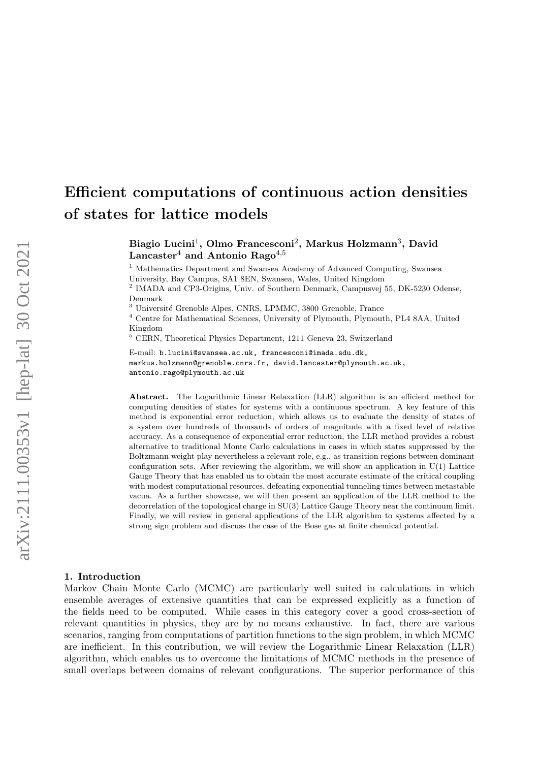# Efficient computations of continuous action densities of states for lattice models

Biagio Lucini<sup>1</sup>, Olmo Francesconi<sup>2</sup>, Markus Holzmann<sup>3</sup>, David Lancaster<sup>4</sup> and Antonio Rago<sup>4,5</sup>

<sup>1</sup> Mathematics Department and Swansea Academy of Advanced Computing, Swansea University, Bay Campus, SA1 8EN, Swansea, Wales, United Kingdom

<sup>2</sup> IMADA and CP3-Origins, Univ. of Southern Denmark, Campusvej 55, DK-5230 Odense, Denmark

<sup>3</sup> Université Grenoble Alpes, CNRS, LPMMC, 3800 Grenoble, France

<sup>4</sup> Centre for Mathematical Sciences, University of Plymouth, Plymouth, PL4 8AA, United Kingdom

<sup>5</sup> CERN, Theoretical Physics Department, 1211 Geneva 23, Switzerland

E-mail: b.lucini@swansea.ac.uk, francesconi@imada.sdu.dk, markus.holzmann@grenoble.cnrs.fr, david.lancaster@plymouth.ac.uk, antonio.rago@plymouth.ac.uk

Abstract. The Logarithmic Linear Relaxation (LLR) algorithm is an efficient method for computing densities of states for systems with a continuous spectrum. A key feature of this method is exponential error reduction, which allows us to evaluate the density of states of a system over hundreds of thousands of orders of magnitude with a fixed level of relative accuracy. As a consequence of exponential error reduction, the LLR method provides a robust alternative to traditional Monte Carlo calculations in cases in which states suppressed by the Boltzmann weight play nevertheless a relevant role, e.g., as transition regions between dominant configuration sets. After reviewing the algorithm, we will show an application in  $U(1)$  Lattice Gauge Theory that has enabled us to obtain the most accurate estimate of the critical coupling with modest computational resources, defeating exponential tunneling times between metastable vacua. As a further showcase, we will then present an application of the LLR method to the decorrelation of the topological charge in SU(3) Lattice Gauge Theory near the continuum limit. Finally, we will review in general applications of the LLR algorithm to systems affected by a strong sign problem and discuss the case of the Bose gas at finite chemical potential.

## 1. Introduction

Markov Chain Monte Carlo (MCMC) are particularly well suited in calculations in which ensemble averages of extensive quantities that can be expressed explicitly as a function of the fields need to be computed. While cases in this category cover a good cross-section of relevant quantities in physics, they are by no means exhaustive. In fact, there are various scenarios, ranging from computations of partition functions to the sign problem, in which MCMC are inefficient. In this contribution, we will review the Logarithmic Linear Relaxation (LLR) algorithm, which enables us to overcome the limitations of MCMC methods in the presence of small overlaps between domains of relevant configurations. The superior performance of this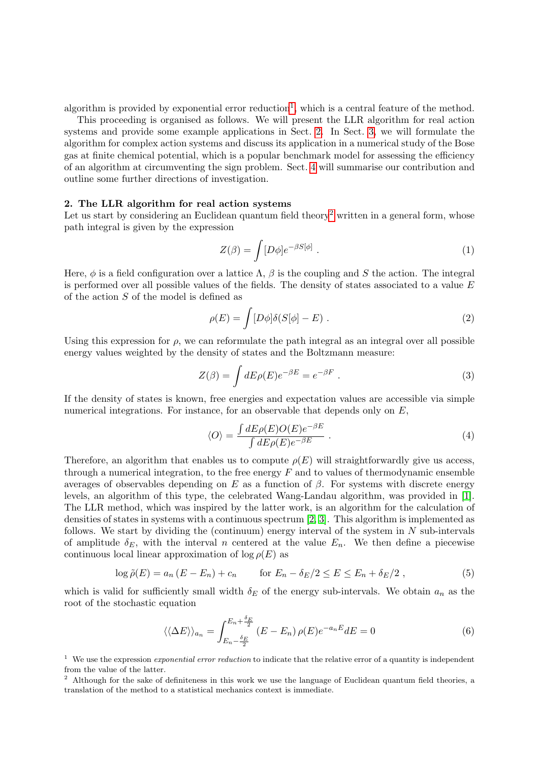algorithm is provided by exponential error reduction<sup>[1](#page-1-0)</sup>, which is a central feature of the method.

This proceeding is organised as follows. We will present the LLR algorithm for real action systems and provide some example applications in Sect. [2.](#page-1-1) In Sect. [3,](#page-3-0) we will formulate the algorithm for complex action systems and discuss its application in a numerical study of the Bose gas at finite chemical potential, which is a popular benchmark model for assessing the efficiency of an algorithm at circumventing the sign problem. Sect. [4](#page-5-0) will summarise our contribution and outline some further directions of investigation.

## <span id="page-1-1"></span>2. The LLR algorithm for real action systems

Let us start by considering an Euclidean quantum field theory<sup>[2](#page-1-2)</sup> written in a general form, whose path integral is given by the expression

$$
Z(\beta) = \int [D\phi] e^{-\beta S[\phi]} . \tag{1}
$$

Here,  $\phi$  is a field configuration over a lattice  $\Lambda$ ,  $\beta$  is the coupling and S the action. The integral is performed over all possible values of the fields. The density of states associated to a value  $E$ of the action S of the model is defined as

$$
\rho(E) = \int [D\phi] \delta(S[\phi] - E) \ . \tag{2}
$$

Using this expression for  $\rho$ , we can reformulate the path integral as an integral over all possible energy values weighted by the density of states and the Boltzmann measure:

$$
Z(\beta) = \int dE \rho(E) e^{-\beta E} = e^{-\beta F} . \tag{3}
$$

If the density of states is known, free energies and expectation values are accessible via simple numerical integrations. For instance, for an observable that depends only on  $E$ ,

$$
\langle O \rangle = \frac{\int dE \rho(E) O(E) e^{-\beta E}}{\int dE \rho(E) e^{-\beta E}} \,. \tag{4}
$$

Therefore, an algorithm that enables us to compute  $\rho(E)$  will straightforwardly give us access, through a numerical integration, to the free energy  $F$  and to values of thermodynamic ensemble averages of observables depending on E as a function of  $\beta$ . For systems with discrete energy levels, an algorithm of this type, the celebrated Wang-Landau algorithm, was provided in [\[1\]](#page-5-1). The LLR method, which was inspired by the latter work, is an algorithm for the calculation of densities of states in systems with a continuous spectrum [\[2,](#page-5-2) [3\]](#page-5-3). This algorithm is implemented as follows. We start by dividing the (continuum) energy interval of the system in  $N$  sub-intervals of amplitude  $\delta_E$ , with the interval n centered at the value  $E_n$ . We then define a piecewise continuous local linear approximation of  $\log \rho(E)$  as

$$
\log \tilde{\rho}(E) = a_n \left( E - E_n \right) + c_n \qquad \text{for } E_n - \delta_E/2 \le E \le E_n + \delta_E/2 \;, \tag{5}
$$

which is valid for sufficiently small width  $\delta_E$  of the energy sub-intervals. We obtain  $a_n$  as the root of the stochastic equation

<span id="page-1-3"></span>
$$
\langle \langle \Delta E \rangle \rangle_{a_n} = \int_{E_n - \frac{\delta_E}{2}}^{E_n + \frac{\delta_E}{2}} (E - E_n) \rho(E) e^{-a_n E} dE = 0 \tag{6}
$$

<span id="page-1-0"></span><sup>1</sup> We use the expression *exponential error reduction* to indicate that the relative error of a quantity is independent from the value of the latter.

<span id="page-1-2"></span><sup>2</sup> Although for the sake of definiteness in this work we use the language of Euclidean quantum field theories, a translation of the method to a statistical mechanics context is immediate.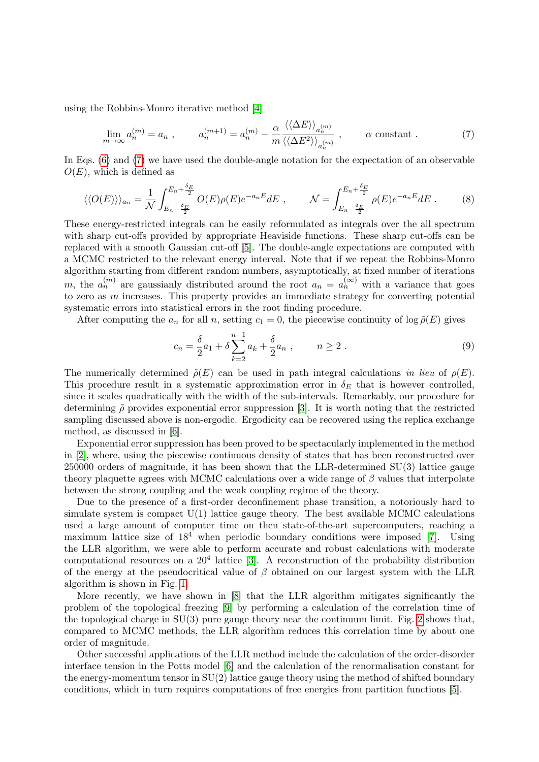using the Robbins-Monro iterative method [\[4\]](#page-5-4)

<span id="page-2-0"></span>
$$
\lim_{m \to \infty} a_n^{(m)} = a_n , \qquad a_n^{(m+1)} = a_n^{(m)} - \frac{\alpha}{m} \frac{\langle \langle \Delta E \rangle \rangle_{a_n^{(m)}}}{\langle \langle \Delta E^2 \rangle \rangle_{a_n^{(m)}}} , \qquad \alpha \text{ constant} . \tag{7}
$$

In Eqs.  $(6)$  and  $(7)$  we have used the double-angle notation for the expectation of an observable  $O(E)$ , which is defined as

$$
\langle\langle O(E)\rangle\rangle_{a_n} = \frac{1}{\mathcal{N}} \int_{E_n - \frac{\delta_E}{2}}^{E_n + \frac{\delta_E}{2}} O(E) \rho(E) e^{-a_n E} dE , \qquad \mathcal{N} = \int_{E_n - \frac{\delta_E}{2}}^{E_n + \frac{\delta_E}{2}} \rho(E) e^{-a_n E} dE . \tag{8}
$$

These energy-restricted integrals can be easily reformulated as integrals over the all spectrum with sharp cut-offs provided by appropriate Heaviside functions. These sharp cut-offs can be replaced with a smooth Gaussian cut-off [\[5\]](#page-5-5). The double-angle expectations are computed with a MCMC restricted to the relevant energy interval. Note that if we repeat the Robbins-Monro algorithm starting from different random numbers, asymptotically, at fixed number of iterations m, the  $a_n^{(m)}$  are gaussianly distributed around the root  $a_n = a_n^{(\infty)}$  with a variance that goes to zero as m increases. This property provides an immediate strategy for converting potential systematic errors into statistical errors in the root finding procedure.

After computing the  $a_n$  for all n, setting  $c_1 = 0$ , the piecewise continuity of log  $\tilde{\rho}(E)$  gives

$$
c_n = \frac{\delta}{2}a_1 + \delta \sum_{k=2}^{n-1} a_k + \frac{\delta}{2}a_n , \qquad n \ge 2 .
$$
 (9)

The numerically determined  $\tilde{\rho}(E)$  can be used in path integral calculations in lieu of  $\rho(E)$ . This procedure result in a systematic approximation error in  $\delta_E$  that is however controlled, since it scales quadratically with the width of the sub-intervals. Remarkably, our procedure for determining  $\tilde{\rho}$  provides exponential error suppression [\[3\]](#page-5-3). It is worth noting that the restricted sampling discussed above is non-ergodic. Ergodicity can be recovered using the replica exchange method, as discussed in [\[6\]](#page-5-6).

Exponential error suppression has been proved to be spectacularly implemented in the method in [\[2\]](#page-5-2), where, using the piecewise continuous density of states that has been reconstructed over 250000 orders of magnitude, it has been shown that the LLR-determined SU(3) lattice gauge theory plaquette agrees with MCMC calculations over a wide range of  $\beta$  values that interpolate between the strong coupling and the weak coupling regime of the theory.

Due to the presence of a first-order deconfinement phase transition, a notoriously hard to simulate system is compact  $U(1)$  lattice gauge theory. The best available MCMC calculations used a large amount of computer time on then state-of-the-art supercomputers, reaching a maximum lattice size of  $18<sup>4</sup>$  when periodic boundary conditions were imposed [\[7\]](#page-5-7). Using the LLR algorithm, we were able to perform accurate and robust calculations with moderate computational resources on a  $20<sup>4</sup>$  lattice [\[3\]](#page-5-3). A reconstruction of the probability distribution of the energy at the pseudocritical value of  $\beta$  obtained on our largest system with the LLR algorithm is shown in Fig. [1.](#page-3-1)

More recently, we have shown in [\[8\]](#page-5-8) that the LLR algorithm mitigates significantly the problem of the topological freezing [\[9\]](#page-5-9) by performing a calculation of the correlation time of the topological charge in  $SU(3)$  pure gauge theory near the continuum limit. Fig. [2](#page-3-2) shows that, compared to MCMC methods, the LLR algorithm reduces this correlation time by about one order of magnitude.

Other successful applications of the LLR method include the calculation of the order-disorder interface tension in the Potts model [\[6\]](#page-5-6) and the calculation of the renormalisation constant for the energy-momentum tensor in  $SU(2)$  lattice gauge theory using the method of shifted boundary conditions, which in turn requires computations of free energies from partition functions [\[5\]](#page-5-5).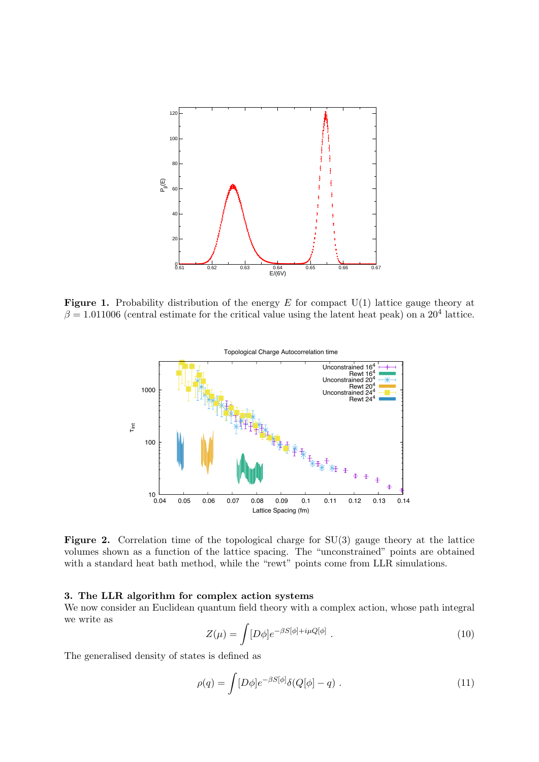

**Figure 1.** Probability distribution of the energy  $E$  for compact  $U(1)$  lattice gauge theory at  $\beta = 1.011006$  (central estimate for the critical value using the latent heat peak) on a 20<sup>4</sup> lattice.

<span id="page-3-1"></span>

<span id="page-3-2"></span>**Figure 2.** Correlation time of the topological charge for  $SU(3)$  gauge theory at the lattice volumes shown as a function of the lattice spacing. The "unconstrained" points are obtained with a standard heat bath method, while the "rewt" points come from LLR simulations.

## <span id="page-3-0"></span>3. The LLR algorithm for complex action systems

We now consider an Euclidean quantum field theory with a complex action, whose path integral we write as

$$
Z(\mu) = \int [D\phi] e^{-\beta S[\phi] + i\mu Q[\phi]} \ . \tag{10}
$$

The generalised density of states is defined as

$$
\rho(q) = \int [D\phi] e^{-\beta S[\phi]} \delta(Q[\phi] - q) . \qquad (11)
$$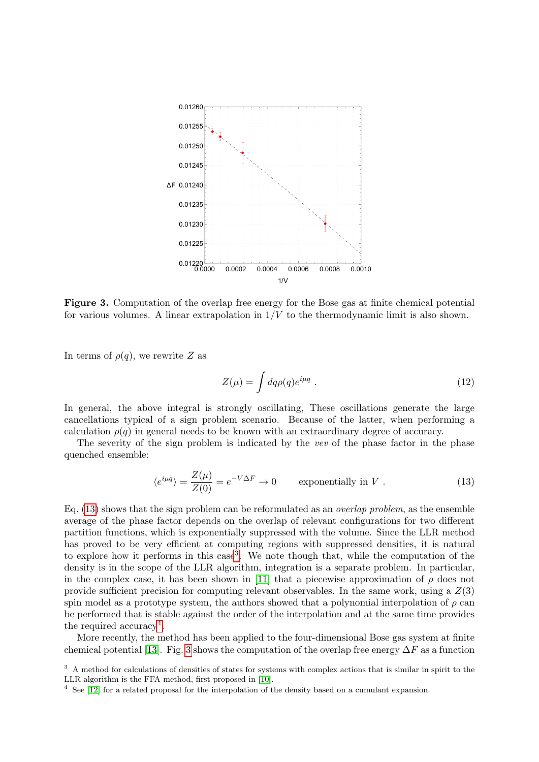

<span id="page-4-3"></span>Figure 3. Computation of the overlap free energy for the Bose gas at finite chemical potential for various volumes. A linear extrapolation in  $1/V$  to the thermodynamic limit is also shown.

In terms of  $\rho(q)$ , we rewrite Z as

$$
Z(\mu) = \int dq \rho(q) e^{i\mu q} . \qquad (12)
$$

In general, the above integral is strongly oscillating, These oscillations generate the large cancellations typical of a sign problem scenario. Because of the latter, when performing a calculation  $\rho(q)$  in general needs to be known with an extraordinary degree of accuracy.

The severity of the sign problem is indicated by the vev of the phase factor in the phase quenched ensemble:

<span id="page-4-0"></span>
$$
\langle e^{i\mu q} \rangle = \frac{Z(\mu)}{Z(0)} = e^{-V\Delta F} \to 0 \qquad \text{exponentially in } V \ . \tag{13}
$$

Eq.  $(13)$  shows that the sign problem can be reformulated as an *overlap problem*, as the ensemble average of the phase factor depends on the overlap of relevant configurations for two different partition functions, which is exponentially suppressed with the volume. Since the LLR method has proved to be very efficient at computing regions with suppressed densities, it is natural to explore how it performs in this case<sup>[3](#page-4-1)</sup>. We note though that, while the computation of the density is in the scope of the LLR algorithm, integration is a separate problem. In particular, in the complex case, it has been shown in [\[11\]](#page-5-10) that a piecewise approximation of  $\rho$  does not provide sufficient precision for computing relevant observables. In the same work, using a  $Z(3)$ spin model as a prototype system, the authors showed that a polynomial interpolation of  $\rho$  can be performed that is stable against the order of the interpolation and at the same time provides the required accuracy<sup>[4](#page-4-2)</sup>.

More recently, the method has been applied to the four-dimensional Bose gas system at finite chemical potential [\[13\]](#page-5-11). Fig. [3](#page-4-3) shows the computation of the overlap free energy  $\Delta F$  as a function

<span id="page-4-1"></span><sup>&</sup>lt;sup>3</sup> A method for calculations of densities of states for systems with complex actions that is similar in spirit to the LLR algorithm is the FFA method, first proposed in [\[10\]](#page-5-12).

<span id="page-4-2"></span><sup>4</sup> See [\[12\]](#page-5-13) for a related proposal for the interpolation of the density based on a cumulant expansion.